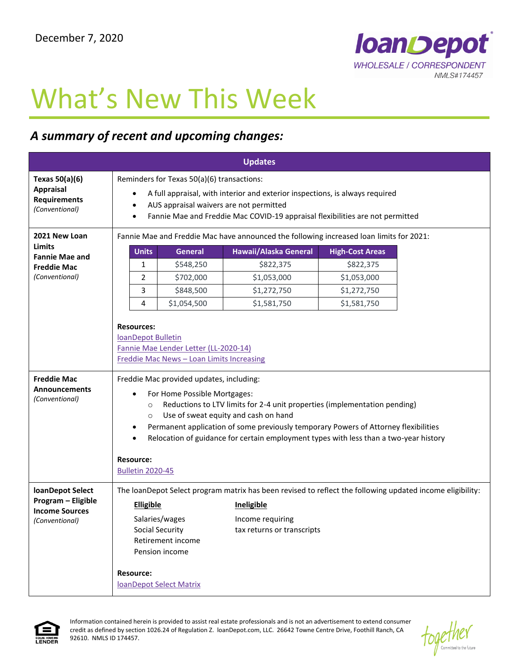

## What's New This Week

## *A summary of recent and upcoming changes:*

| <b>Updates</b>                                                                                  |                                                                                                                                                                                                                                                                                                                                                                                                                                                                                                                           |                                                                                                                                                                                                                                                                                                      |  |  |  |  |
|-------------------------------------------------------------------------------------------------|---------------------------------------------------------------------------------------------------------------------------------------------------------------------------------------------------------------------------------------------------------------------------------------------------------------------------------------------------------------------------------------------------------------------------------------------------------------------------------------------------------------------------|------------------------------------------------------------------------------------------------------------------------------------------------------------------------------------------------------------------------------------------------------------------------------------------------------|--|--|--|--|
| Texas 50(a)(6)<br><b>Appraisal</b><br><b>Requirements</b><br>(Conventional)                     | Reminders for Texas 50(a)(6) transactions:<br>A full appraisal, with interior and exterior inspections, is always required<br>٠<br>AUS appraisal waivers are not permitted<br>٠<br>Fannie Mae and Freddie Mac COVID-19 appraisal flexibilities are not permitted<br>$\bullet$                                                                                                                                                                                                                                             |                                                                                                                                                                                                                                                                                                      |  |  |  |  |
| 2021 New Loan<br><b>Limits</b><br><b>Fannie Mae and</b><br><b>Freddie Mac</b><br>(Conventional) | Fannie Mae and Freddie Mac have announced the following increased loan limits for 2021:<br><b>Units</b><br>Hawaii/Alaska General<br><b>General</b><br><b>High-Cost Areas</b><br>1<br>\$548,250<br>\$822,375<br>\$822,375<br>2<br>\$702,000<br>\$1,053,000<br>\$1,053,000<br>\$1,272,750<br>3<br>\$848,500<br>\$1,272,750<br>\$1,054,500<br>\$1,581,750<br>\$1,581,750<br>4<br><b>Resources:</b><br>loanDepot Bulletin<br>Fannie Mae Lender Letter (LL-2020-14)                                                            |                                                                                                                                                                                                                                                                                                      |  |  |  |  |
| <b>Freddie Mac</b><br>Announcements<br>(Conventional)                                           | Freddie Mac News - Loan Limits Increasing<br>Freddie Mac provided updates, including:<br>For Home Possible Mortgages:<br>Reductions to LTV limits for 2-4 unit properties (implementation pending)<br>$\circ$<br>Use of sweat equity and cash on hand<br>$\circ$<br>Permanent application of some previously temporary Powers of Attorney flexibilities<br>$\bullet$<br>Relocation of guidance for certain employment types with less than a two-year history<br>$\bullet$<br><b>Resource:</b><br><b>Bulletin 2020-45</b> |                                                                                                                                                                                                                                                                                                      |  |  |  |  |
| loanDepot Select<br>Program - Eligible<br><b>Income Sources</b><br>(Conventional)               | <b>Resource:</b>                                                                                                                                                                                                                                                                                                                                                                                                                                                                                                          | The loanDepot Select program matrix has been revised to reflect the following updated income eligibility:<br><b>Elligible</b><br>Ineligible<br>Salaries/wages<br>Income requiring<br>Social Security<br>tax returns or transcripts<br>Retirement income<br>Pension income<br>IoanDepot Select Matrix |  |  |  |  |



Information contained herein is provided to assist real estate professionals and is not an advertisement to extend consumer credit as defined by section 1026.24 of Regulation Z. loanDepot.com, LLC. 26642 Towne Centre Drive, Foothill Ranch, CA 92610. NMLS ID 174457.